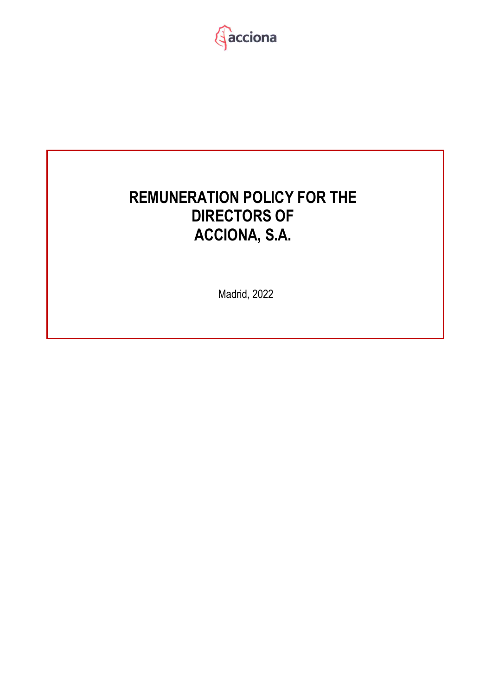

# <span id="page-0-0"></span>**REMUNERATION POLICY FOR THE DIRECTORS OF ACCIONA, S.A.**

Madrid, 2022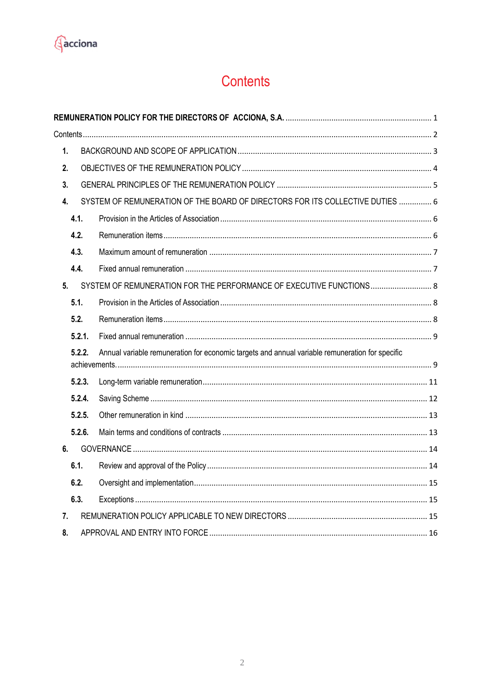<span id="page-1-0"></span>

## Contents

| 1.             |        |                                                                                                 |  |
|----------------|--------|-------------------------------------------------------------------------------------------------|--|
| 2.             |        |                                                                                                 |  |
| 3.             |        |                                                                                                 |  |
| 4.             |        | SYSTEM OF REMUNERATION OF THE BOARD OF DIRECTORS FOR ITS COLLECTIVE DUTIES  6                   |  |
|                | 4.1.   |                                                                                                 |  |
|                | 4.2.   |                                                                                                 |  |
|                | 4.3.   |                                                                                                 |  |
|                | 4.4.   |                                                                                                 |  |
| 5 <sub>1</sub> |        | SYSTEM OF REMUNERATION FOR THE PERFORMANCE OF EXECUTIVE FUNCTIONS 8                             |  |
|                | 5.1.   |                                                                                                 |  |
|                | 5.2.   |                                                                                                 |  |
|                | 5.2.1. |                                                                                                 |  |
|                | 5.2.2. | Annual variable remuneration for economic targets and annual variable remuneration for specific |  |
|                | 5.2.3. |                                                                                                 |  |
|                | 5.2.4. |                                                                                                 |  |
|                | 5.2.5. |                                                                                                 |  |
|                | 5.2.6. |                                                                                                 |  |
| 6.             |        |                                                                                                 |  |
|                | 6.1.   |                                                                                                 |  |
|                | 6.2.   |                                                                                                 |  |
|                | 6.3.   |                                                                                                 |  |
| 7.             |        |                                                                                                 |  |
| 8.             |        |                                                                                                 |  |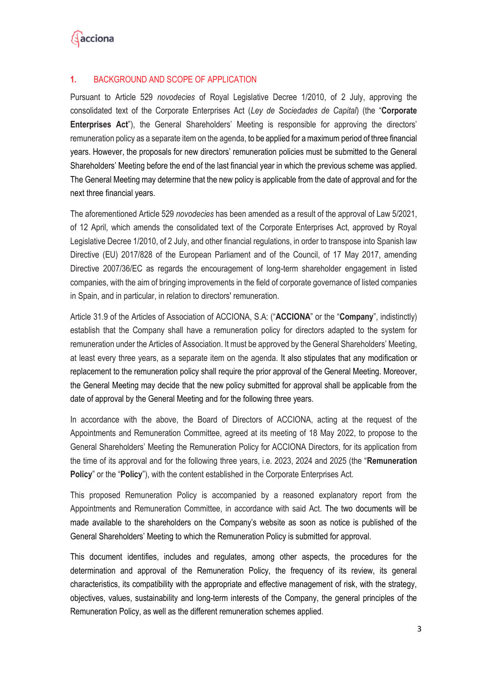

#### <span id="page-2-0"></span>**1.** BACKGROUND AND SCOPE OF APPLICATION

Pursuant to Article 529 *novodecies* of Royal Legislative Decree 1/2010, of 2 July, approving the consolidated text of the Corporate Enterprises Act (*Ley de Sociedades de Capital*) (the "**Corporate Enterprises Act**"), the General Shareholders' Meeting is responsible for approving the directors' remuneration policy as a separate item on the agenda, to be applied for a maximum period of three financial years. However, the proposals for new directors' remuneration policies must be submitted to the General Shareholders' Meeting before the end of the last financial year in which the previous scheme was applied. The General Meeting may determine that the new policy is applicable from the date of approval and for the next three financial years.

The aforementioned Article 529 *novodecies* has been amended as a result of the approval of Law 5/2021, of 12 April, which amends the consolidated text of the Corporate Enterprises Act, approved by Royal Legislative Decree 1/2010, of 2 July, and other financial regulations, in order to transpose into Spanish law Directive (EU) 2017/828 of the European Parliament and of the Council, of 17 May 2017, amending Directive 2007/36/EC as regards the encouragement of long-term shareholder engagement in listed companies, with the aim of bringing improvements in the field of corporate governance of listed companies in Spain, and in particular, in relation to directors' remuneration.

Article 31.9 of the Articles of Association of ACCIONA, S.A: ("**ACCIONA**" or the "**Company**", indistinctly) establish that the Company shall have a remuneration policy for directors adapted to the system for remuneration under the Articles of Association. It must be approved by the General Shareholders' Meeting, at least every three years, as a separate item on the agenda. It also stipulates that any modification or replacement to the remuneration policy shall require the prior approval of the General Meeting. Moreover, the General Meeting may decide that the new policy submitted for approval shall be applicable from the date of approval by the General Meeting and for the following three years.

In accordance with the above, the Board of Directors of ACCIONA, acting at the request of the Appointments and Remuneration Committee, agreed at its meeting of 18 May 2022, to propose to the General Shareholders' Meeting the Remuneration Policy for ACCIONA Directors, for its application from the time of its approval and for the following three years, i.e. 2023, 2024 and 2025 (the "**Remuneration Policy**" or the "**Policy**"), with the content established in the Corporate Enterprises Act.

This proposed Remuneration Policy is accompanied by a reasoned explanatory report from the Appointments and Remuneration Committee, in accordance with said Act. The two documents will be made available to the shareholders on the Company's website as soon as notice is published of the General Shareholders' Meeting to which the Remuneration Policy is submitted for approval.

This document identifies, includes and regulates, among other aspects, the procedures for the determination and approval of the Remuneration Policy, the frequency of its review, its general characteristics, its compatibility with the appropriate and effective management of risk, with the strategy, objectives, values, sustainability and long-term interests of the Company, the general principles of the Remuneration Policy, as well as the different remuneration schemes applied.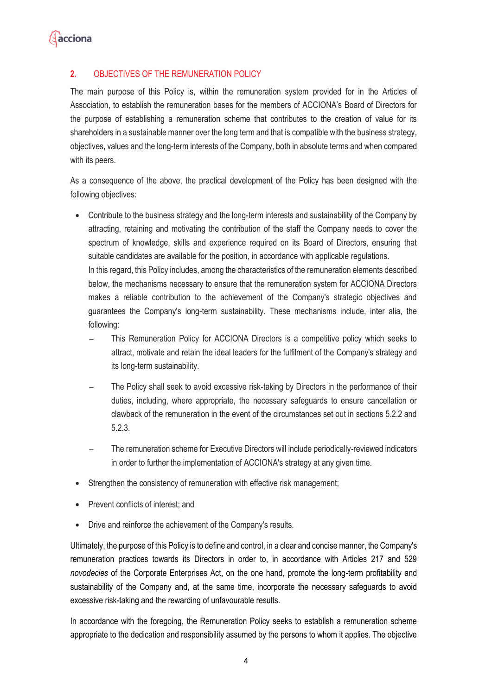

## <span id="page-3-0"></span>**2.** OBJECTIVES OF THE REMUNERATION POLICY

The main purpose of this Policy is, within the remuneration system provided for in the Articles of Association, to establish the remuneration bases for the members of ACCIONA's Board of Directors for the purpose of establishing a remuneration scheme that contributes to the creation of value for its shareholders in a sustainable manner over the long term and that is compatible with the business strategy, objectives, values and the long-term interests of the Company, both in absolute terms and when compared with its peers.

As a consequence of the above, the practical development of the Policy has been designed with the following objectives:

• Contribute to the business strategy and the long-term interests and sustainability of the Company by attracting, retaining and motivating the contribution of the staff the Company needs to cover the spectrum of knowledge, skills and experience required on its Board of Directors, ensuring that suitable candidates are available for the position, in accordance with applicable regulations.

In this regard, this Policy includes, among the characteristics of the remuneration elements described below, the mechanisms necessary to ensure that the remuneration system for ACCIONA Directors makes a reliable contribution to the achievement of the Company's strategic objectives and guarantees the Company's long-term sustainability. These mechanisms include, inter alia, the following:

- This Remuneration Policy for ACCIONA Directors is a competitive policy which seeks to attract, motivate and retain the ideal leaders for the fulfilment of the Company's strategy and its long-term sustainability.
- The Policy shall seek to avoid excessive risk-taking by Directors in the performance of their duties, including, where appropriate, the necessary safeguards to ensure cancellation or clawback of the remuneration in the event of the circumstances set out in sections 5.2.2 and 5.2.3.
- The remuneration scheme for Executive Directors will include periodically-reviewed indicators in order to further the implementation of ACCIONA's strategy at any given time.
- Strengthen the consistency of remuneration with effective risk management;
- Prevent conflicts of interest; and
- Drive and reinforce the achievement of the Company's results.

Ultimately, the purpose of this Policy is to define and control, in a clear and concise manner, the Company's remuneration practices towards its Directors in order to, in accordance with Articles 217 and 529 *novodecies* of the Corporate Enterprises Act, on the one hand, promote the long-term profitability and sustainability of the Company and, at the same time, incorporate the necessary safeguards to avoid excessive risk-taking and the rewarding of unfavourable results.

In accordance with the foregoing, the Remuneration Policy seeks to establish a remuneration scheme appropriate to the dedication and responsibility assumed by the persons to whom it applies. The objective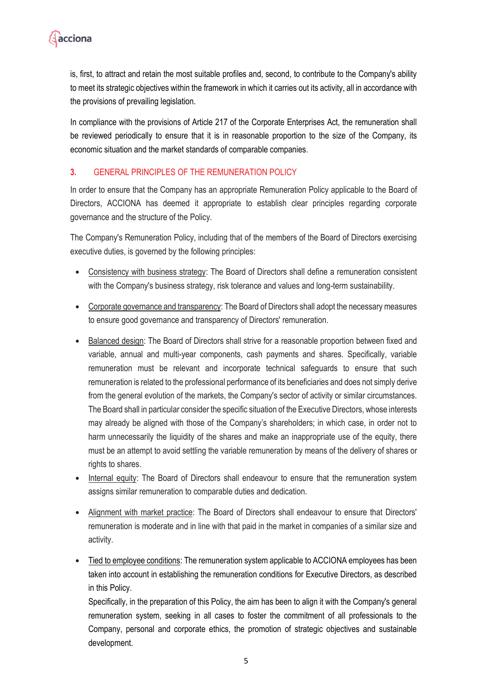

is, first, to attract and retain the most suitable profiles and, second, to contribute to the Company's ability to meet its strategic objectives within the framework in which it carries out its activity, all in accordance with the provisions of prevailing legislation.

In compliance with the provisions of Article 217 of the Corporate Enterprises Act, the remuneration shall be reviewed periodically to ensure that it is in reasonable proportion to the size of the Company, its economic situation and the market standards of comparable companies.

#### <span id="page-4-0"></span>**3.** GENERAL PRINCIPLES OF THE REMUNERATION POLICY

In order to ensure that the Company has an appropriate Remuneration Policy applicable to the Board of Directors, ACCIONA has deemed it appropriate to establish clear principles regarding corporate governance and the structure of the Policy.

The Company's Remuneration Policy, including that of the members of the Board of Directors exercising executive duties, is governed by the following principles:

- Consistency with business strategy: The Board of Directors shall define a remuneration consistent with the Company's business strategy, risk tolerance and values and long-term sustainability.
- Corporate governance and transparency: The Board of Directors shall adopt the necessary measures to ensure good governance and transparency of Directors' remuneration.
- Balanced design: The Board of Directors shall strive for a reasonable proportion between fixed and variable, annual and multi-year components, cash payments and shares. Specifically, variable remuneration must be relevant and incorporate technical safeguards to ensure that such remuneration is related to the professional performance of its beneficiaries and does not simply derive from the general evolution of the markets, the Company's sector of activity or similar circumstances. The Board shall in particular consider the specific situation of the Executive Directors, whose interests may already be aligned with those of the Company's shareholders; in which case, in order not to harm unnecessarily the liquidity of the shares and make an inappropriate use of the equity, there must be an attempt to avoid settling the variable remuneration by means of the delivery of shares or rights to shares.
- Internal equity: The Board of Directors shall endeavour to ensure that the remuneration system assigns similar remuneration to comparable duties and dedication.
- Alignment with market practice: The Board of Directors shall endeavour to ensure that Directors' remuneration is moderate and in line with that paid in the market in companies of a similar size and activity.
- Tied to employee conditions: The remuneration system applicable to ACCIONA employees has been taken into account in establishing the remuneration conditions for Executive Directors, as described in this Policy.

Specifically, in the preparation of this Policy, the aim has been to align it with the Company's general remuneration system, seeking in all cases to foster the commitment of all professionals to the Company, personal and corporate ethics, the promotion of strategic objectives and sustainable development.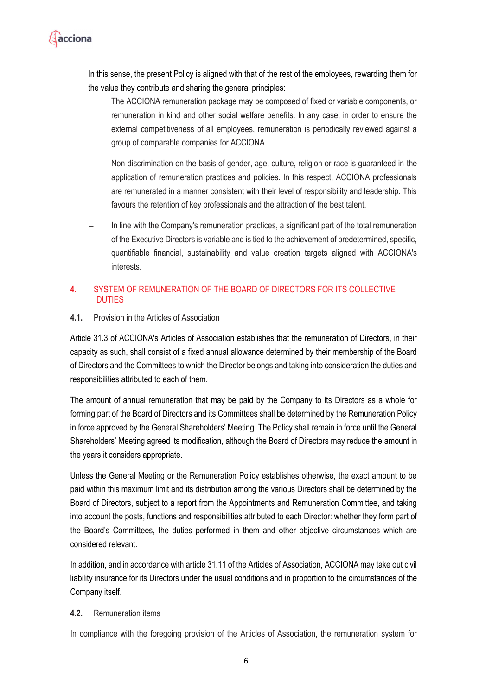

In this sense, the present Policy is aligned with that of the rest of the employees, rewarding them for the value they contribute and sharing the general principles:

- The ACCIONA remuneration package may be composed of fixed or variable components, or remuneration in kind and other social welfare benefits. In any case, in order to ensure the external competitiveness of all employees, remuneration is periodically reviewed against a group of comparable companies for ACCIONA.
- − Non-discrimination on the basis of gender, age, culture, religion or race is guaranteed in the application of remuneration practices and policies. In this respect, ACCIONA professionals are remunerated in a manner consistent with their level of responsibility and leadership. This favours the retention of key professionals and the attraction of the best talent.
- In line with the Company's remuneration practices, a significant part of the total remuneration of the Executive Directors is variable and is tied to the achievement of predetermined, specific, quantifiable financial, sustainability and value creation targets aligned with ACCIONA's interests.

#### <span id="page-5-0"></span>**4.** SYSTEM OF REMUNERATION OF THE BOARD OF DIRECTORS FOR ITS COLLECTIVE DUTIES

#### <span id="page-5-1"></span>**4.1.** Provision in the Articles of Association

Article 31.3 of ACCIONA's Articles of Association establishes that the remuneration of Directors, in their capacity as such, shall consist of a fixed annual allowance determined by their membership of the Board of Directors and the Committees to which the Director belongs and taking into consideration the duties and responsibilities attributed to each of them.

The amount of annual remuneration that may be paid by the Company to its Directors as a whole for forming part of the Board of Directors and its Committees shall be determined by the Remuneration Policy in force approved by the General Shareholders' Meeting. The Policy shall remain in force until the General Shareholders' Meeting agreed its modification, although the Board of Directors may reduce the amount in the years it considers appropriate.

Unless the General Meeting or the Remuneration Policy establishes otherwise, the exact amount to be paid within this maximum limit and its distribution among the various Directors shall be determined by the Board of Directors, subject to a report from the Appointments and Remuneration Committee, and taking into account the posts, functions and responsibilities attributed to each Director: whether they form part of the Board's Committees, the duties performed in them and other objective circumstances which are considered relevant.

In addition, and in accordance with article 31.11 of the Articles of Association, ACCIONA may take out civil liability insurance for its Directors under the usual conditions and in proportion to the circumstances of the Company itself.

#### <span id="page-5-2"></span>**4.2.** Remuneration items

In compliance with the foregoing provision of the Articles of Association, the remuneration system for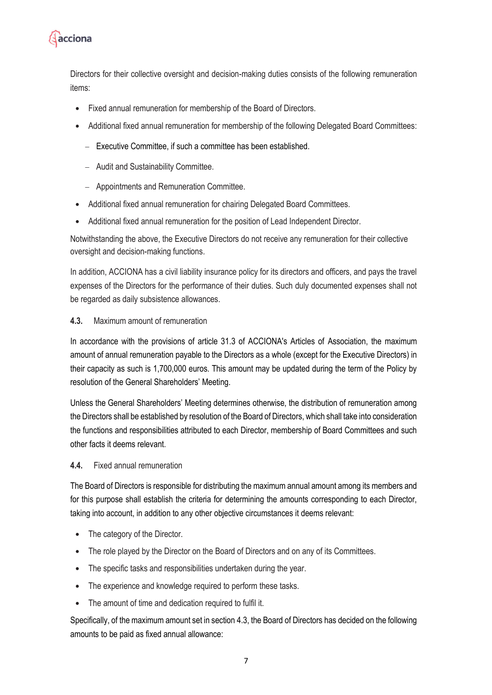

Directors for their collective oversight and decision-making duties consists of the following remuneration items:

- Fixed annual remuneration for membership of the Board of Directors.
- Additional fixed annual remuneration for membership of the following Delegated Board Committees:
	- − Executive Committee, if such a committee has been established.
	- − Audit and Sustainability Committee.
	- − Appointments and Remuneration Committee.
- Additional fixed annual remuneration for chairing Delegated Board Committees.
- Additional fixed annual remuneration for the position of Lead Independent Director.

Notwithstanding the above, the Executive Directors do not receive any remuneration for their collective oversight and decision-making functions.

In addition, ACCIONA has a civil liability insurance policy for its directors and officers, and pays the travel expenses of the Directors for the performance of their duties. Such duly documented expenses shall not be regarded as daily subsistence allowances.

#### <span id="page-6-0"></span>**4.3.** Maximum amount of remuneration

In accordance with the provisions of article 31.3 of ACCIONA's Articles of Association, the maximum amount of annual remuneration payable to the Directors as a whole (except for the Executive Directors) in their capacity as such is 1,700,000 euros. This amount may be updated during the term of the Policy by resolution of the General Shareholders' Meeting.

Unless the General Shareholders' Meeting determines otherwise, the distribution of remuneration among the Directors shall be established by resolution of the Board of Directors, which shall take into consideration the functions and responsibilities attributed to each Director, membership of Board Committees and such other facts it deems relevant.

#### <span id="page-6-1"></span>**4.4.** Fixed annual remuneration

The Board of Directors is responsible for distributing the maximum annual amount among its members and for this purpose shall establish the criteria for determining the amounts corresponding to each Director, taking into account, in addition to any other objective circumstances it deems relevant:

- The category of the Director.
- The role played by the Director on the Board of Directors and on any of its Committees.
- The specific tasks and responsibilities undertaken during the year.
- The experience and knowledge required to perform these tasks.
- The amount of time and dedication required to fulfil it.

Specifically, of the maximum amount set in section 4.3, the Board of Directors has decided on the following amounts to be paid as fixed annual allowance: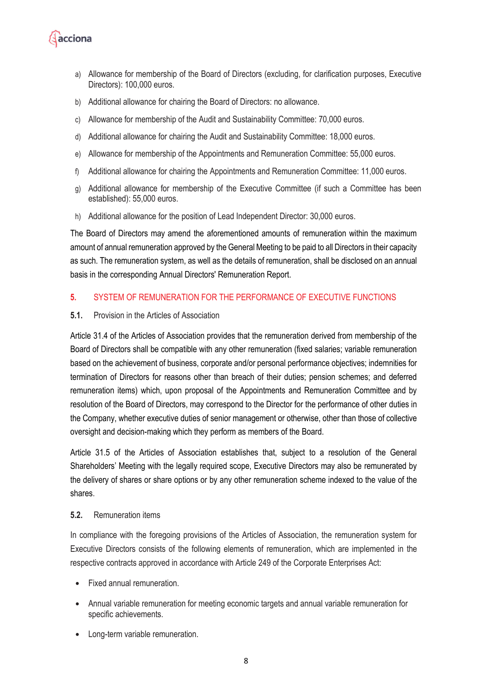

- a) Allowance for membership of the Board of Directors (excluding, for clarification purposes, Executive Directors): 100,000 euros.
- b) Additional allowance for chairing the Board of Directors: no allowance.
- c) Allowance for membership of the Audit and Sustainability Committee: 70,000 euros.
- d) Additional allowance for chairing the Audit and Sustainability Committee: 18,000 euros.
- e) Allowance for membership of the Appointments and Remuneration Committee: 55,000 euros.
- f) Additional allowance for chairing the Appointments and Remuneration Committee: 11,000 euros.
- g) Additional allowance for membership of the Executive Committee (if such a Committee has been established): 55,000 euros.
- h) Additional allowance for the position of Lead Independent Director: 30,000 euros.

The Board of Directors may amend the aforementioned amounts of remuneration within the maximum amount of annual remuneration approved by the General Meeting to be paid to all Directors in their capacity as such. The remuneration system, as well as the details of remuneration, shall be disclosed on an annual basis in the corresponding Annual Directors' Remuneration Report.

#### <span id="page-7-0"></span>**5.** SYSTEM OF REMUNERATION FOR THE PERFORMANCE OF EXECUTIVE FUNCTIONS

#### <span id="page-7-1"></span>**5.1.** Provision in the Articles of Association

Article 31.4 of the Articles of Association provides that the remuneration derived from membership of the Board of Directors shall be compatible with any other remuneration (fixed salaries; variable remuneration based on the achievement of business, corporate and/or personal performance objectives; indemnities for termination of Directors for reasons other than breach of their duties; pension schemes; and deferred remuneration items) which, upon proposal of the Appointments and Remuneration Committee and by resolution of the Board of Directors, may correspond to the Director for the performance of other duties in the Company, whether executive duties of senior management or otherwise, other than those of collective oversight and decision-making which they perform as members of the Board.

Article 31.5 of the Articles of Association establishes that, subject to a resolution of the General Shareholders' Meeting with the legally required scope, Executive Directors may also be remunerated by the delivery of shares or share options or by any other remuneration scheme indexed to the value of the shares.

#### <span id="page-7-2"></span>**5.2.** Remuneration items

In compliance with the foregoing provisions of the Articles of Association, the remuneration system for Executive Directors consists of the following elements of remuneration, which are implemented in the respective contracts approved in accordance with Article 249 of the Corporate Enterprises Act:

- Fixed annual remuneration.
- Annual variable remuneration for meeting economic targets and annual variable remuneration for specific achievements.
- Long-term variable remuneration.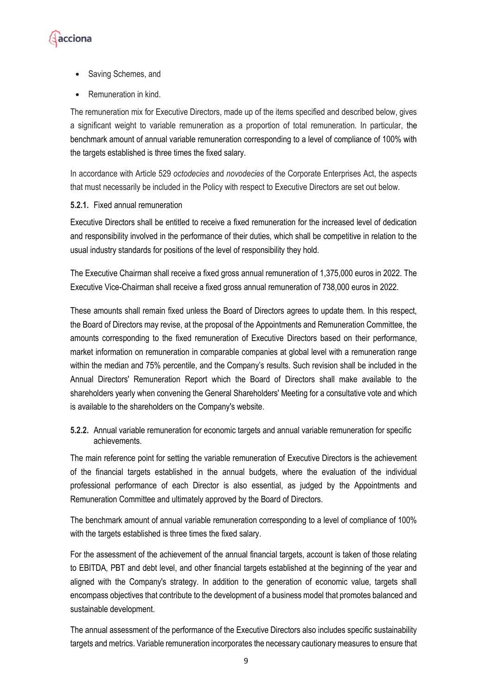

- Saving Schemes, and
- Remuneration in kind.

The remuneration mix for Executive Directors, made up of the items specified and described below, gives a significant weight to variable remuneration as a proportion of total remuneration. In particular, the benchmark amount of annual variable remuneration corresponding to a level of compliance of 100% with the targets established is three times the fixed salary.

In accordance with Article 529 *octodecies* and *novodecies* of the Corporate Enterprises Act, the aspects that must necessarily be included in the Policy with respect to Executive Directors are set out below.

#### <span id="page-8-0"></span>**5.2.1.** Fixed annual remuneration

Executive Directors shall be entitled to receive a fixed remuneration for the increased level of dedication and responsibility involved in the performance of their duties, which shall be competitive in relation to the usual industry standards for positions of the level of responsibility they hold.

The Executive Chairman shall receive a fixed gross annual remuneration of 1,375,000 euros in 2022. The Executive Vice-Chairman shall receive a fixed gross annual remuneration of 738,000 euros in 2022.

These amounts shall remain fixed unless the Board of Directors agrees to update them. In this respect, the Board of Directors may revise, at the proposal of the Appointments and Remuneration Committee, the amounts corresponding to the fixed remuneration of Executive Directors based on their performance, market information on remuneration in comparable companies at global level with a remuneration range within the median and 75% percentile, and the Company's results. Such revision shall be included in the Annual Directors' Remuneration Report which the Board of Directors shall make available to the shareholders yearly when convening the General Shareholders' Meeting for a consultative vote and which is available to the shareholders on the Company's website.

<span id="page-8-1"></span>**5.2.2.** Annual variable remuneration for economic targets and annual variable remuneration for specific achievements.

The main reference point for setting the variable remuneration of Executive Directors is the achievement of the financial targets established in the annual budgets, where the evaluation of the individual professional performance of each Director is also essential, as judged by the Appointments and Remuneration Committee and ultimately approved by the Board of Directors.

The benchmark amount of annual variable remuneration corresponding to a level of compliance of 100% with the targets established is three times the fixed salary.

For the assessment of the achievement of the annual financial targets, account is taken of those relating to EBITDA, PBT and debt level, and other financial targets established at the beginning of the year and aligned with the Company's strategy. In addition to the generation of economic value, targets shall encompass objectives that contribute to the development of a business model that promotes balanced and sustainable development.

The annual assessment of the performance of the Executive Directors also includes specific sustainability targets and metrics. Variable remuneration incorporates the necessary cautionary measures to ensure that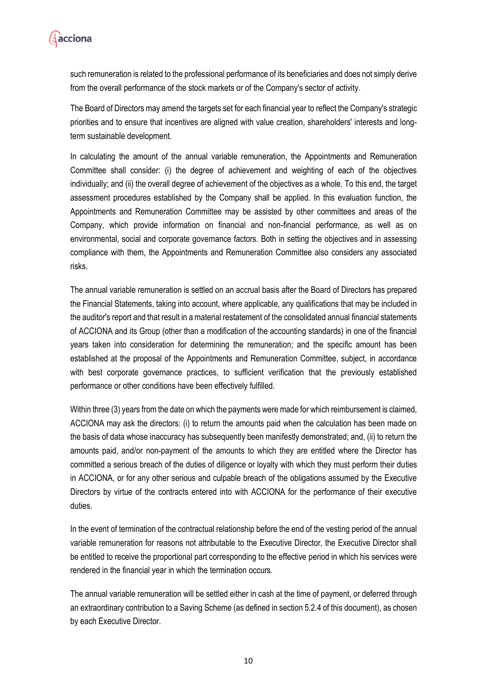

such remuneration is related to the professional performance of its beneficiaries and does not simply derive from the overall performance of the stock markets or of the Company's sector of activity.

The Board of Directors may amend the targets set for each financial year to reflect the Company's strategic priorities and to ensure that incentives are aligned with value creation, shareholders' interests and longterm sustainable development.

In calculating the amount of the annual variable remuneration, the Appointments and Remuneration Committee shall consider: (i) the degree of achievement and weighting of each of the objectives individually; and (ii) the overall degree of achievement of the objectives as a whole. To this end, the target assessment procedures established by the Company shall be applied. In this evaluation function, the Appointments and Remuneration Committee may be assisted by other committees and areas of the Company, which provide information on financial and non-financial performance, as well as on environmental, social and corporate governance factors. Both in setting the objectives and in assessing compliance with them, the Appointments and Remuneration Committee also considers any associated risks.

The annual variable remuneration is settled on an accrual basis after the Board of Directors has prepared the Financial Statements, taking into account, where applicable, any qualifications that may be included in the auditor's report and that result in a material restatement of the consolidated annual financial statements of ACCIONA and its Group (other than a modification of the accounting standards) in one of the financial years taken into consideration for determining the remuneration; and the specific amount has been established at the proposal of the Appointments and Remuneration Committee, subject, in accordance with best corporate governance practices, to sufficient verification that the previously established performance or other conditions have been effectively fulfilled.

Within three (3) years from the date on which the payments were made for which reimbursement is claimed, ACCIONA may ask the directors: (i) to return the amounts paid when the calculation has been made on the basis of data whose inaccuracy has subsequently been manifestly demonstrated; and, (ii) to return the amounts paid, and/or non-payment of the amounts to which they are entitled where the Director has committed a serious breach of the duties of diligence or loyalty with which they must perform their duties in ACCIONA, or for any other serious and culpable breach of the obligations assumed by the Executive Directors by virtue of the contracts entered into with ACCIONA for the performance of their executive duties.

In the event of termination of the contractual relationship before the end of the vesting period of the annual variable remuneration for reasons not attributable to the Executive Director, the Executive Director shall be entitled to receive the proportional part corresponding to the effective period in which his services were rendered in the financial year in which the termination occurs.

The annual variable remuneration will be settled either in cash at the time of payment, or deferred through an extraordinary contribution to a Saving Scheme (as defined in section 5.2.4 of this document), as chosen by each Executive Director.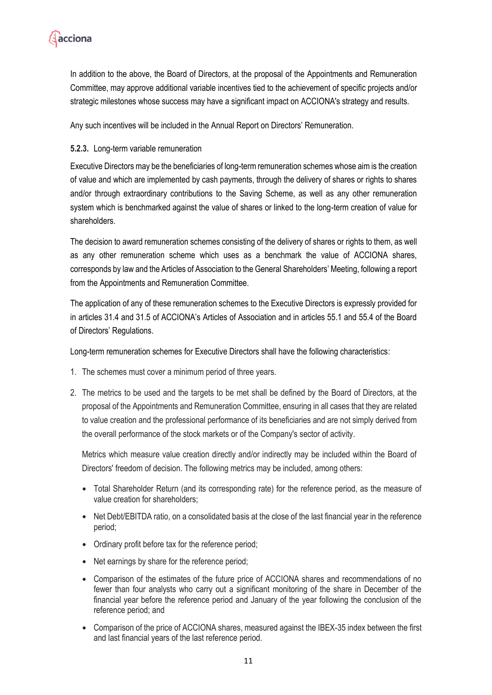

In addition to the above, the Board of Directors, at the proposal of the Appointments and Remuneration Committee, may approve additional variable incentives tied to the achievement of specific projects and/or strategic milestones whose success may have a significant impact on ACCIONA's strategy and results.

Any such incentives will be included in the Annual Report on Directors' Remuneration.

#### <span id="page-10-0"></span>**5.2.3.** Long-term variable remuneration

Executive Directors may be the beneficiaries of long-term remuneration schemes whose aim is the creation of value and which are implemented by cash payments, through the delivery of shares or rights to shares and/or through extraordinary contributions to the Saving Scheme, as well as any other remuneration system which is benchmarked against the value of shares or linked to the long-term creation of value for shareholders.

The decision to award remuneration schemes consisting of the delivery of shares or rights to them, as well as any other remuneration scheme which uses as a benchmark the value of ACCIONA shares, corresponds by law and the Articles of Association to the General Shareholders' Meeting, following a report from the Appointments and Remuneration Committee.

The application of any of these remuneration schemes to the Executive Directors is expressly provided for in articles 31.4 and 31.5 of ACCIONA's Articles of Association and in articles 55.1 and 55.4 of the Board of Directors' Regulations.

Long-term remuneration schemes for Executive Directors shall have the following characteristics:

- 1. The schemes must cover a minimum period of three years.
- 2. The metrics to be used and the targets to be met shall be defined by the Board of Directors, at the proposal of the Appointments and Remuneration Committee, ensuring in all cases that they are related to value creation and the professional performance of its beneficiaries and are not simply derived from the overall performance of the stock markets or of the Company's sector of activity.

Metrics which measure value creation directly and/or indirectly may be included within the Board of Directors' freedom of decision. The following metrics may be included, among others:

- Total Shareholder Return (and its corresponding rate) for the reference period, as the measure of value creation for shareholders;
- Net Debt/EBITDA ratio, on a consolidated basis at the close of the last financial year in the reference period;
- Ordinary profit before tax for the reference period;
- Net earnings by share for the reference period;
- Comparison of the estimates of the future price of ACCIONA shares and recommendations of no fewer than four analysts who carry out a significant monitoring of the share in December of the financial year before the reference period and January of the year following the conclusion of the reference period; and
- Comparison of the price of ACCIONA shares, measured against the IBEX-35 index between the first and last financial years of the last reference period.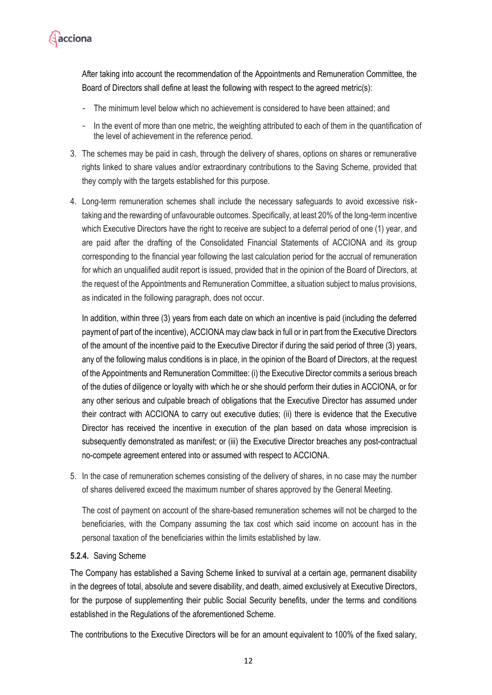

After taking into account the recommendation of the Appointments and Remuneration Committee, the Board of Directors shall define at least the following with respect to the agreed metric(s):

- The minimum level below which no achievement is considered to have been attained; and
- In the event of more than one metric, the weighting attributed to each of them in the quantification of the level of achievement in the reference period.
- 3. The schemes may be paid in cash, through the delivery of shares, options on shares or remunerative rights linked to share values and/or extraordinary contributions to the Saving Scheme, provided that they comply with the targets established for this purpose.
- 4. Long-term remuneration schemes shall include the necessary safeguards to avoid excessive risktaking and the rewarding of unfavourable outcomes. Specifically, at least 20% of the long-term incentive which Executive Directors have the right to receive are subject to a deferral period of one (1) year, and are paid after the drafting of the Consolidated Financial Statements of ACCIONA and its group corresponding to the financial year following the last calculation period for the accrual of remuneration for which an unqualified audit report is issued, provided that in the opinion of the Board of Directors, at the request of the Appointments and Remuneration Committee, a situation subject to malus provisions, as indicated in the following paragraph, does not occur.

In addition, within three (3) years from each date on which an incentive is paid (including the deferred payment of part of the incentive), ACCIONA may claw back in full or in part from the Executive Directors of the amount of the incentive paid to the Executive Director if during the said period of three (3) years, any of the following malus conditions is in place, in the opinion of the Board of Directors, at the request of the Appointments and Remuneration Committee: (i) the Executive Director commits a serious breach of the duties of diligence or loyalty with which he or she should perform their duties in ACCIONA, or for any other serious and culpable breach of obligations that the Executive Director has assumed under their contract with ACCIONA to carry out executive duties; (ii) there is evidence that the Executive Director has received the incentive in execution of the plan based on data whose imprecision is subsequently demonstrated as manifest; or (iii) the Executive Director breaches any post-contractual no-compete agreement entered into or assumed with respect to ACCIONA.

5. In the case of remuneration schemes consisting of the delivery of shares, in no case may the number of shares delivered exceed the maximum number of shares approved by the General Meeting.

The cost of payment on account of the share-based remuneration schemes will not be charged to the beneficiaries, with the Company assuming the tax cost which said income on account has in the personal taxation of the beneficiaries within the limits established by law.

#### <span id="page-11-0"></span>**5.2.4.** Saving Scheme

The Company has established a Saving Scheme linked to survival at a certain age, permanent disability in the degrees of total, absolute and severe disability, and death, aimed exclusively at Executive Directors, for the purpose of supplementing their public Social Security benefits, under the terms and conditions established in the Regulations of the aforementioned Scheme.

The contributions to the Executive Directors will be for an amount equivalent to 100% of the fixed salary,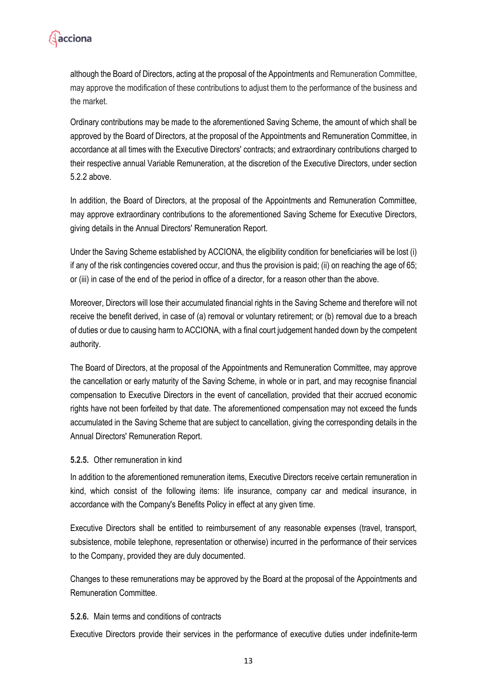

although the Board of Directors, acting at the proposal of the Appointments and Remuneration Committee, may approve the modification of these contributions to adjust them to the performance of the business and the market.

Ordinary contributions may be made to the aforementioned Saving Scheme, the amount of which shall be approved by the Board of Directors, at the proposal of the Appointments and Remuneration Committee, in accordance at all times with the Executive Directors' contracts; and extraordinary contributions charged to their respective annual Variable Remuneration, at the discretion of the Executive Directors, under section 5.2.2 above.

In addition, the Board of Directors, at the proposal of the Appointments and Remuneration Committee, may approve extraordinary contributions to the aforementioned Saving Scheme for Executive Directors, giving details in the Annual Directors' Remuneration Report.

Under the Saving Scheme established by ACCIONA, the eligibility condition for beneficiaries will be lost (i) if any of the risk contingencies covered occur, and thus the provision is paid; (ii) on reaching the age of 65; or (iii) in case of the end of the period in office of a director, for a reason other than the above.

Moreover, Directors will lose their accumulated financial rights in the Saving Scheme and therefore will not receive the benefit derived, in case of (a) removal or voluntary retirement; or (b) removal due to a breach of duties or due to causing harm to ACCIONA, with a final court judgement handed down by the competent authority.

The Board of Directors, at the proposal of the Appointments and Remuneration Committee, may approve the cancellation or early maturity of the Saving Scheme, in whole or in part, and may recognise financial compensation to Executive Directors in the event of cancellation, provided that their accrued economic rights have not been forfeited by that date. The aforementioned compensation may not exceed the funds accumulated in the Saving Scheme that are subject to cancellation, giving the corresponding details in the Annual Directors' Remuneration Report.

#### <span id="page-12-0"></span>**5.2.5.** Other remuneration in kind

In addition to the aforementioned remuneration items, Executive Directors receive certain remuneration in kind, which consist of the following items: life insurance, company car and medical insurance, in accordance with the Company's Benefits Policy in effect at any given time.

Executive Directors shall be entitled to reimbursement of any reasonable expenses (travel, transport, subsistence, mobile telephone, representation or otherwise) incurred in the performance of their services to the Company, provided they are duly documented.

Changes to these remunerations may be approved by the Board at the proposal of the Appointments and Remuneration Committee.

#### <span id="page-12-1"></span>**5.2.6.** Main terms and conditions of contracts

Executive Directors provide their services in the performance of executive duties under indefinite-term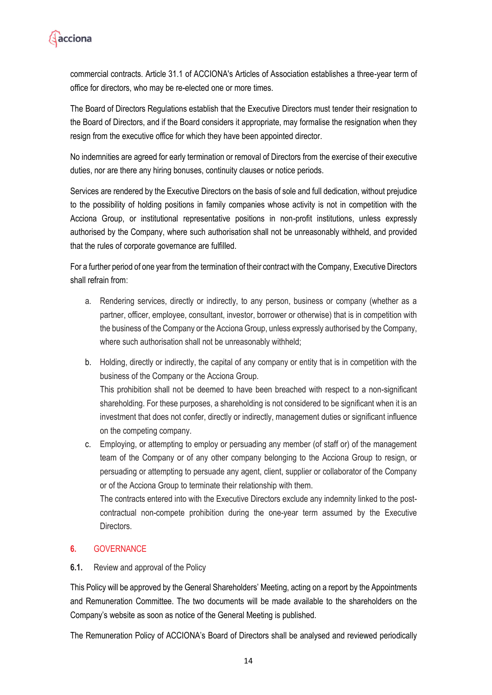

commercial contracts. Article 31.1 of ACCIONA's Articles of Association establishes a three-year term of office for directors, who may be re-elected one or more times.

The Board of Directors Regulations establish that the Executive Directors must tender their resignation to the Board of Directors, and if the Board considers it appropriate, may formalise the resignation when they resign from the executive office for which they have been appointed director.

No indemnities are agreed for early termination or removal of Directors from the exercise of their executive duties, nor are there any hiring bonuses, continuity clauses or notice periods.

Services are rendered by the Executive Directors on the basis of sole and full dedication, without prejudice to the possibility of holding positions in family companies whose activity is not in competition with the Acciona Group, or institutional representative positions in non-profit institutions, unless expressly authorised by the Company, where such authorisation shall not be unreasonably withheld, and provided that the rules of corporate governance are fulfilled.

For a further period of one year from the termination of their contract with the Company, Executive Directors shall refrain from:

- a. Rendering services, directly or indirectly, to any person, business or company (whether as a partner, officer, employee, consultant, investor, borrower or otherwise) that is in competition with the business of the Company or the Acciona Group, unless expressly authorised by the Company, where such authorisation shall not be unreasonably withheld;
- b. Holding, directly or indirectly, the capital of any company or entity that is in competition with the business of the Company or the Acciona Group. This prohibition shall not be deemed to have been breached with respect to a non-significant shareholding. For these purposes, a shareholding is not considered to be significant when it is an investment that does not confer, directly or indirectly, management duties or significant influence on the competing company.
- c. Employing, or attempting to employ or persuading any member (of staff or) of the management team of the Company or of any other company belonging to the Acciona Group to resign, or persuading or attempting to persuade any agent, client, supplier or collaborator of the Company or of the Acciona Group to terminate their relationship with them.

The contracts entered into with the Executive Directors exclude any indemnity linked to the postcontractual non-compete prohibition during the one-year term assumed by the Executive Directors.

## <span id="page-13-0"></span>**6.** GOVERNANCE

#### <span id="page-13-1"></span>**6.1.** Review and approval of the Policy

This Policy will be approved by the General Shareholders' Meeting, acting on a report by the Appointments and Remuneration Committee. The two documents will be made available to the shareholders on the Company's website as soon as notice of the General Meeting is published.

The Remuneration Policy of ACCIONA's Board of Directors shall be analysed and reviewed periodically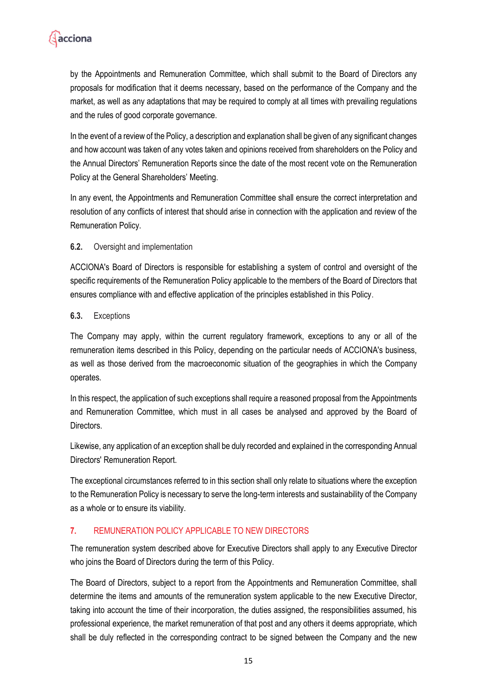

by the Appointments and Remuneration Committee, which shall submit to the Board of Directors any proposals for modification that it deems necessary, based on the performance of the Company and the market, as well as any adaptations that may be required to comply at all times with prevailing regulations and the rules of good corporate governance.

In the event of a review of the Policy, a description and explanation shall be given of any significant changes and how account was taken of any votes taken and opinions received from shareholders on the Policy and the Annual Directors' Remuneration Reports since the date of the most recent vote on the Remuneration Policy at the General Shareholders' Meeting.

In any event, the Appointments and Remuneration Committee shall ensure the correct interpretation and resolution of any conflicts of interest that should arise in connection with the application and review of the Remuneration Policy.

#### <span id="page-14-0"></span>**6.2.** Oversight and implementation

ACCIONA's Board of Directors is responsible for establishing a system of control and oversight of the specific requirements of the Remuneration Policy applicable to the members of the Board of Directors that ensures compliance with and effective application of the principles established in this Policy.

#### <span id="page-14-1"></span>**6.3.** Exceptions

The Company may apply, within the current regulatory framework, exceptions to any or all of the remuneration items described in this Policy, depending on the particular needs of ACCIONA's business, as well as those derived from the macroeconomic situation of the geographies in which the Company operates.

In this respect, the application of such exceptions shall require a reasoned proposal from the Appointments and Remuneration Committee, which must in all cases be analysed and approved by the Board of Directors.

Likewise, any application of an exception shall be duly recorded and explained in the corresponding Annual Directors' Remuneration Report.

The exceptional circumstances referred to in this section shall only relate to situations where the exception to the Remuneration Policy is necessary to serve the long-term interests and sustainability of the Company as a whole or to ensure its viability.

#### <span id="page-14-2"></span>**7.** REMUNERATION POLICY APPLICABLE TO NEW DIRECTORS

The remuneration system described above for Executive Directors shall apply to any Executive Director who joins the Board of Directors during the term of this Policy.

The Board of Directors, subject to a report from the Appointments and Remuneration Committee, shall determine the items and amounts of the remuneration system applicable to the new Executive Director, taking into account the time of their incorporation, the duties assigned, the responsibilities assumed, his professional experience, the market remuneration of that post and any others it deems appropriate, which shall be duly reflected in the corresponding contract to be signed between the Company and the new